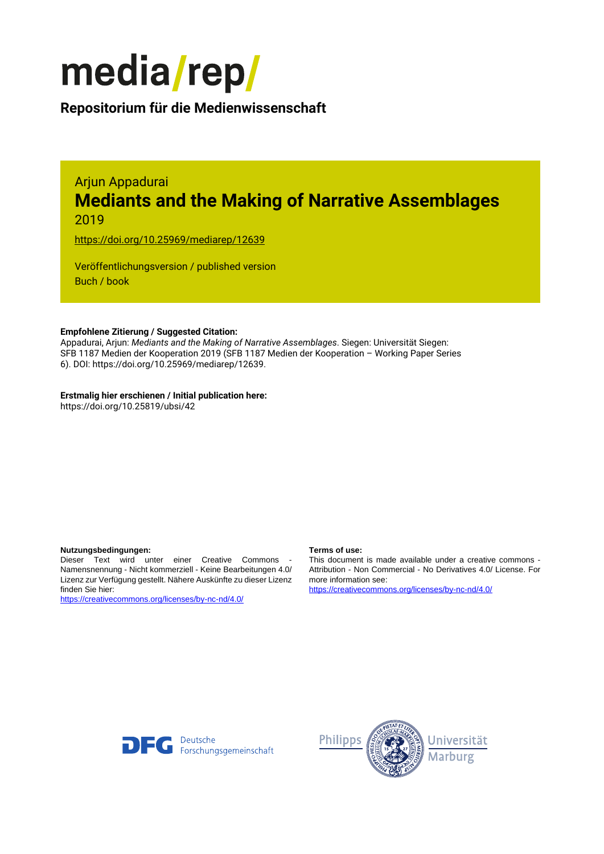

### **Repositorium für die [Medienwissenschaft](https://mediarep.org)**

### Arjun Appadurai **Mediants and the Making of Narrative Assemblages** 2019

<https://doi.org/10.25969/mediarep/12639>

Veröffentlichungsversion / published version Buch / book

### **Empfohlene Zitierung / Suggested Citation:**

Appadurai, Arjun: *Mediants and the Making of Narrative Assemblages*. Siegen: Universität Siegen: SFB 1187 Medien der Kooperation 2019 (SFB 1187 Medien der Kooperation – Working Paper Series 6). DOI: https://doi.org/10.25969/mediarep/12639.

### **Erstmalig hier erschienen / Initial publication here:**

https://doi.org/10.25819/ubsi/42

### **Nutzungsbedingungen: Terms of use:**

Dieser Text wird unter einer Creative Commons - Namensnennung - Nicht kommerziell - Keine Bearbeitungen 4.0/ Lizenz zur Verfügung gestellt. Nähere Auskünfte zu dieser Lizenz finden Sie hier:

<https://creativecommons.org/licenses/by-nc-nd/4.0/>

This document is made available under a creative commons - Attribution - Non Commercial - No Derivatives 4.0/ License. For more information see:

<https://creativecommons.org/licenses/by-nc-nd/4.0/>



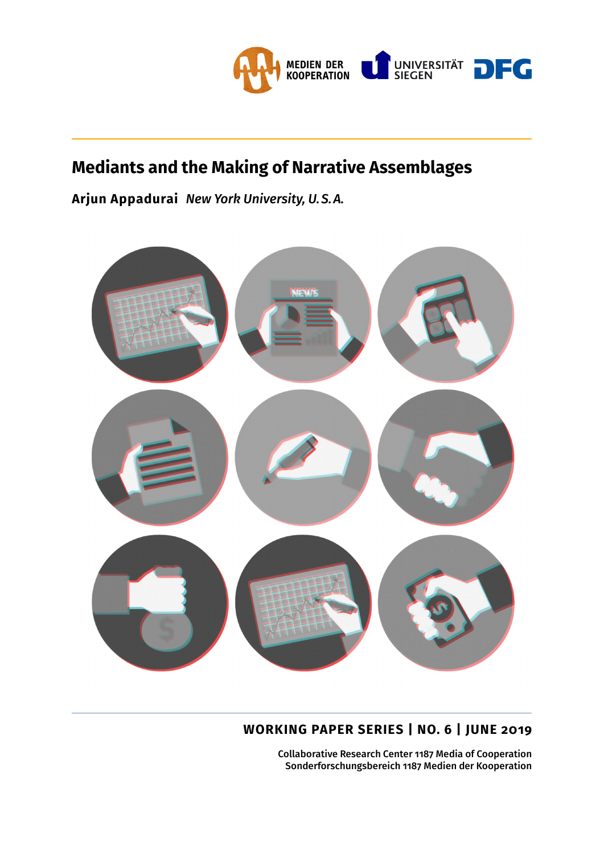

# **Mediants and the Making of Narrative Assemblages**

**Arjun Appadurai** *New York University, U.S.A.*



## **WORKING PAPER SERIES | NO. 6 | JUNE 2019**

Collaborative Research Center 1187 Media of Cooperation Sonderforschungsbereich 1187 Medien der Kooperation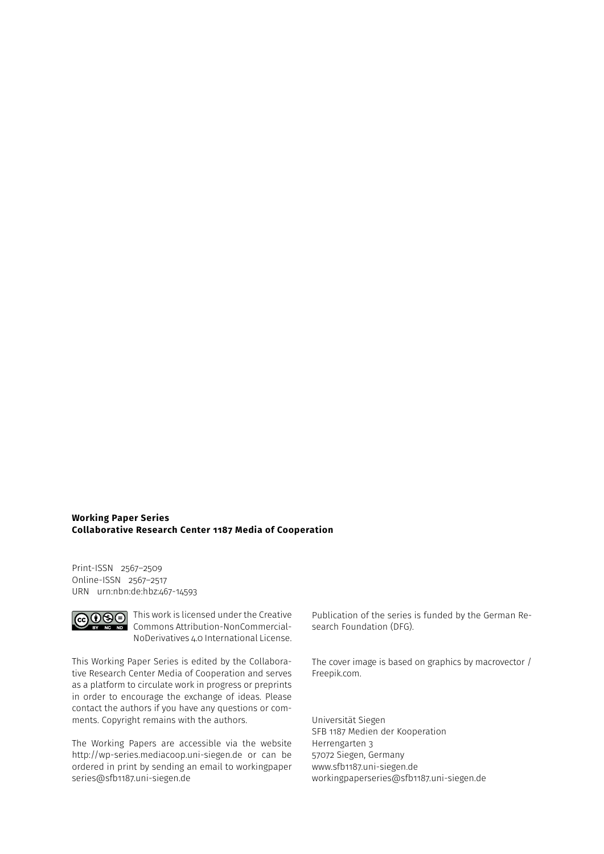### **Working Paper Series Collaborative Research Center 1187 Media of Cooperation**

Print-ISSN 2567–2509 Online-ISSN 2567–2517 URN urn:nbn:de:hbz:467-14593



This work is licensed under the Creative Commons Attribution-NonCommercial-NoDerivatives 4.0 International License.

This Working Paper Series is edited by the Collaborative Research Center Media of Cooperation and serves as a platform to circulate work in progress or preprints in order to encourage the exchange of ideas. Please contact the authors if you have any questions or comments. Copyright remains with the authors.

The Working Papers are accessible via the website http://wp-series.mediacoop.uni-siegen.de or can be ordered in print by sending an email to workingpaper series@sfb1187.uni-siegen.de

Publication of the series is funded by the German Research Foundation (DFG).

The cover image is based on graphics by macrovector / Freepik.com.

Universität Siegen SFB 1187 Medien der Kooperation Herrengarten 3 57072 Siegen, Germany www.sfb1187.uni-siegen.de workingpaperseries@sfb1187.uni-siegen.de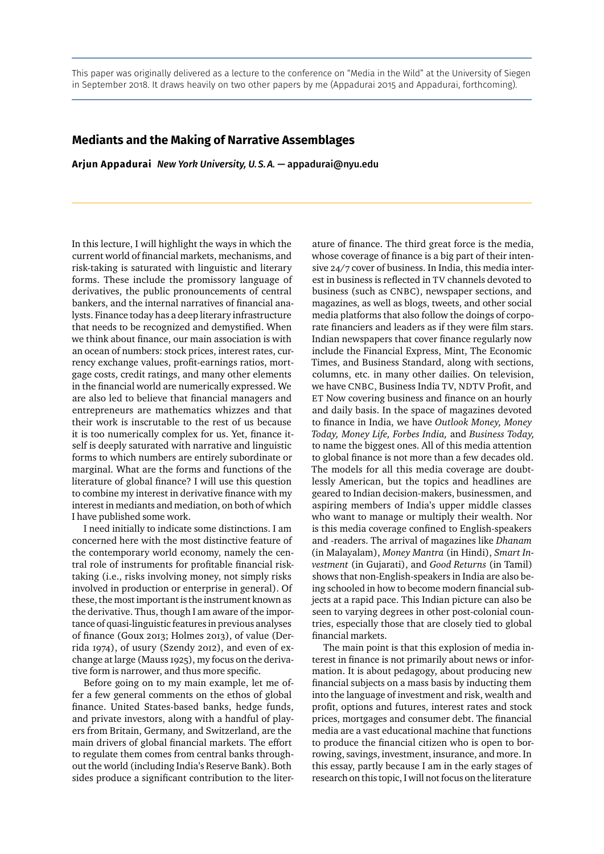This paper was originally delivered as a lecture to the conference on "Media in the Wild" at the University of Siegen in September 2018. It draws heavily on two other papers by me (Appadurai 2015 and Appadurai, forthcoming).

### **Mediants and the Making of Narrative Assemblages**

**Arjun Appadurai** *New York University, U.S.A.* — appadurai@nyu.edu

In this lecture, I will highlight the ways in which the current world of financial markets, mechanisms, and risk-taking is saturated with linguistic and literary forms. These include the promissory language of derivatives, the public pronouncements of central bankers, and the internal narratives of financial analysts. Finance today has a deep literary infrastructure that needs to be recognized and demystified. When we think about finance, our main association is with an ocean of numbers: stock prices, interest rates, currency exchange values, profit-earnings ratios, mortgage costs, credit ratings, and many other elements in the financial world are numerically expressed. We are also led to believe that financial managers and entrepreneurs are mathematics whizzes and that their work is inscrutable to the rest of us because it is too numerically complex for us. Yet, finance itself is deeply saturated with narrative and linguistic forms to which numbers are entirely subordinate or marginal. What are the forms and functions of the literature of global finance? I will use this question to combine my interest in derivative finance with my interest in mediants and mediation, on both of which I have published some work.

I need initially to indicate some distinctions. I am concerned here with the most distinctive feature of the contemporary world economy, namely the central role of instruments for profitable financial risktaking (i.e., risks involving money, not simply risks involved in production or enterprise in general). Of these, the most important is the instrument known as the derivative. Thus, though I am aware of the importance of quasi-linguistic features in previous analyses of finance (Goux 2013; Holmes 2013), of value (Derrida 1974), of usury (Szendy 2012), and even of exchange at large (Mauss 1925), my focus on the derivative form is narrower, and thus more specific.

Before going on to my main example, let me offer a few general comments on the ethos of global finance. United States-based banks, hedge funds, and private investors, along with a handful of players from Britain, Germany, and Switzerland, are the main drivers of global financial markets. The effort to regulate them comes from central banks throughout the world (including India's Reserve Bank). Both sides produce a significant contribution to the liter-

ature of finance. The third great force is the media, whose coverage of finance is a big part of their intensive 24/7 cover of business. In India, this media interest in business is reflected in TV channels devoted to business (such as CNBC), newspaper sections, and magazines, as well as blogs, tweets, and other social media platforms that also follow the doings of corporate financiers and leaders as if they were film stars. Indian newspapers that cover finance regularly now include the Financial Express, Mint, The Economic Times, and Business Standard, along with sections, columns, etc. in many other dailies. On television, we have CNBC, Business India TV, NDTV Profit, and ET Now covering business and finance on an hourly and daily basis. In the space of magazines devoted to finance in India, we have *Outlook Money, Money Today, Money Life, Forbes India,* and *Business Today,* to name the biggest ones. All of this media attention to global finance is not more than a few decades old. The models for all this media coverage are doubtlessly American, but the topics and headlines are geared to Indian decision-makers, businessmen, and aspiring members of India's upper middle classes who want to manage or multiply their wealth. Nor is this media coverage confined to English-speakers and -readers. The arrival of magazines like *Dhanam* (in Malayalam), *Money Mantra* (in Hindi), *Smart Investment* (in Gujarati), and *Good Returns* (in Tamil) shows that non-English-speakers in India are also being schooled in how to become modern financial subjects at a rapid pace. This Indian picture can also be seen to varying degrees in other post-colonial countries, especially those that are closely tied to global financial markets.

The main point is that this explosion of media interest in finance is not primarily about news or information. It is about pedagogy, about producing new financial subjects on a mass basis by inducting them into the language of investment and risk, wealth and profit, options and futures, interest rates and stock prices, mortgages and consumer debt. The financial media are a vast educational machine that functions to produce the financial citizen who is open to borrowing, savings, investment, insurance, and more. In this essay, partly because I am in the early stages of research on this topic, I will not focus on the literature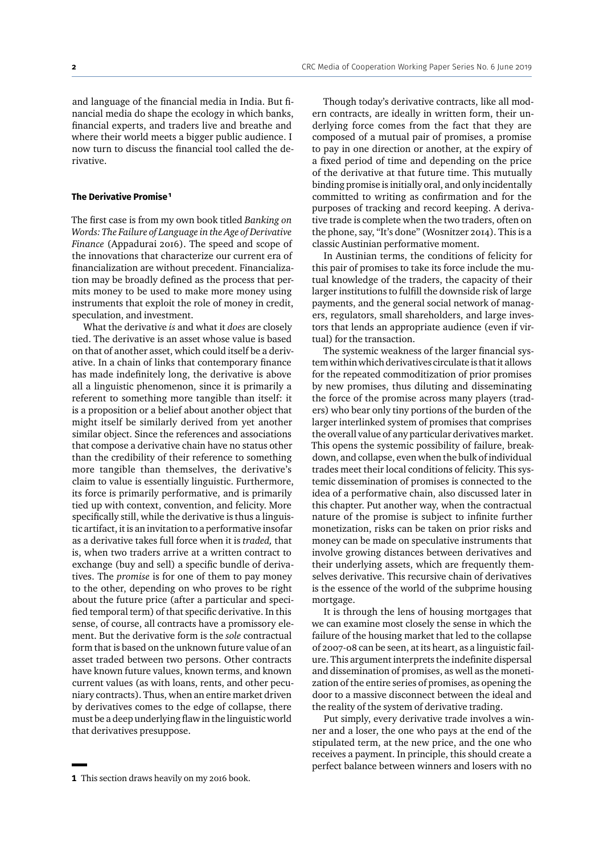and language of the financial media in India. But financial media do shape the ecology in which banks, financial experts, and traders live and breathe and where their world meets a bigger public audience. I now turn to discuss the financial tool called the derivative.

### **The Derivative Promise1**

The first case is from my own book titled *Banking on Words: The Failure of Language in the Age of Derivative Finance* (Appadurai 2016). The speed and scope of the innovations that characterize our current era of financialization are without precedent. Financialization may be broadly defined as the process that permits money to be used to make more money using instruments that exploit the role of money in credit, speculation, and investment.

What the derivative *is* and what it *does* are closely tied. The derivative is an asset whose value is based on that of another asset, which could itself be a derivative. In a chain of links that contemporary finance has made indefinitely long, the derivative is above all a linguistic phenomenon, since it is primarily a referent to something more tangible than itself: it is a proposition or a belief about another object that might itself be similarly derived from yet another similar object. Since the references and associations that compose a derivative chain have no status other than the credibility of their reference to something more tangible than themselves, the derivative's claim to value is essentially linguistic. Furthermore, its force is primarily performative, and is primarily tied up with context, convention, and felicity. More specifically still, while the derivative is thus a linguistic artifact, it is an invitation to a performative insofar as a derivative takes full force when it is *traded,* that is, when two traders arrive at a written contract to exchange (buy and sell) a specific bundle of derivatives. The *promise* is for one of them to pay money to the other, depending on who proves to be right about the future price (after a particular and specified temporal term) of that specific derivative. In this sense, of course, all contracts have a promissory element. But the derivative form is the *sole* contractual form that is based on the unknown future value of an asset traded between two persons. Other contracts have known future values, known terms, and known current values (as with loans, rents, and other pecuniary contracts). Thus, when an entire market driven by derivatives comes to the edge of collapse, there must be a deep underlying flaw in the linguistic world that derivatives presuppose.

**1** This section draws heavily on my 2016 book.

Though today's derivative contracts, like all modern contracts, are ideally in written form, their underlying force comes from the fact that they are composed of a mutual pair of promises, a promise to pay in one direction or another, at the expiry of a fixed period of time and depending on the price of the derivative at that future time. This mutually binding promise is initially oral, and only incidentally committed to writing as confirmation and for the purposes of tracking and record keeping. A derivative trade is complete when the two traders, often on the phone, say, "It's done" (Wosnitzer 2014). This is a classic Austinian performative moment.

In Austinian terms, the conditions of felicity for this pair of promises to take its force include the mutual knowledge of the traders, the capacity of their larger institutions to fulfill the downside risk of large payments, and the general social network of managers, regulators, small shareholders, and large investors that lends an appropriate audience (even if virtual) for the transaction.

The systemic weakness of the larger financial system within which derivatives circulate is that it allows for the repeated commoditization of prior promises by new promises, thus diluting and disseminating the force of the promise across many players (traders) who bear only tiny portions of the burden of the larger interlinked system of promises that comprises the overall value of any particular derivatives market. This opens the systemic possibility of failure, breakdown, and collapse, even when the bulk of individual trades meet their local conditions of felicity. This systemic dissemination of promises is connected to the idea of a performative chain, also discussed later in this chapter. Put another way, when the contractual nature of the promise is subject to infinite further monetization, risks can be taken on prior risks and money can be made on speculative instruments that involve growing distances between derivatives and their underlying assets, which are frequently themselves derivative. This recursive chain of derivatives is the essence of the world of the subprime housing mortgage.

It is through the lens of housing mortgages that we can examine most closely the sense in which the failure of the housing market that led to the collapse of 2007-08 can be seen, at its heart, as a linguistic failure. This argument interprets the indefinite dispersal and dissemination of promises, as well as the monetization of the entire series of promises, as opening the door to a massive disconnect between the ideal and the reality of the system of derivative trading.

Put simply, every derivative trade involves a winner and a loser, the one who pays at the end of the stipulated term, at the new price, and the one who receives a payment. In principle, this should create a perfect balance between winners and losers with no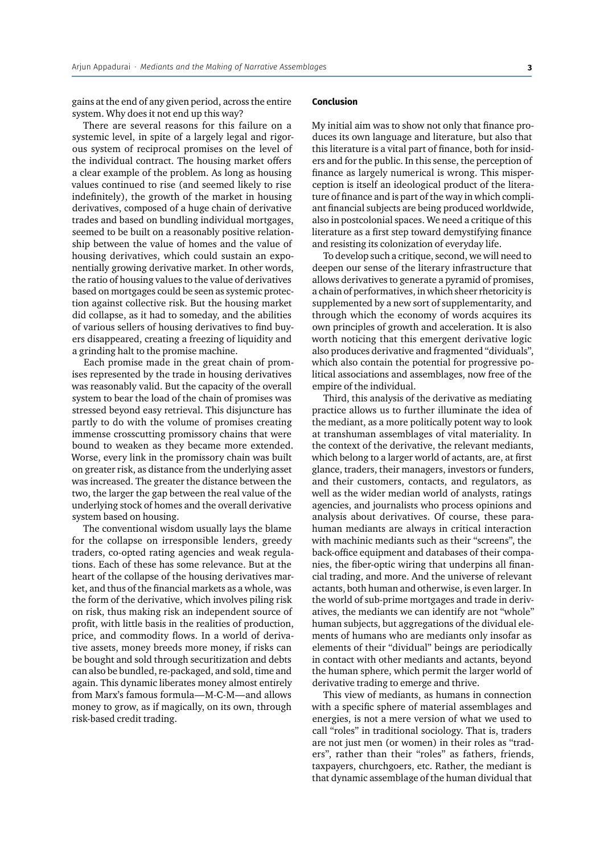gains at the end of any given period, across the entire system. Why does it not end up this way?

There are several reasons for this failure on a systemic level, in spite of a largely legal and rigorous system of reciprocal promises on the level of the individual contract. The housing market offers a clear example of the problem. As long as housing values continued to rise (and seemed likely to rise indefinitely), the growth of the market in housing derivatives, composed of a huge chain of derivative trades and based on bundling individual mortgages, seemed to be built on a reasonably positive relationship between the value of homes and the value of housing derivatives, which could sustain an exponentially growing derivative market. In other words, the ratio of housing values to the value of derivatives based on mortgages could be seen as systemic protection against collective risk. But the housing market did collapse, as it had to someday, and the abilities of various sellers of housing derivatives to find buyers disappeared, creating a freezing of liquidity and a grinding halt to the promise machine.

Each promise made in the great chain of promises represented by the trade in housing derivatives was reasonably valid. But the capacity of the overall system to bear the load of the chain of promises was stressed beyond easy retrieval. This disjuncture has partly to do with the volume of promises creating immense crosscutting promissory chains that were bound to weaken as they became more extended. Worse, every link in the promissory chain was built on greater risk, as distance from the underlying asset was increased. The greater the distance between the two, the larger the gap between the real value of the underlying stock of homes and the overall derivative system based on housing.

The conventional wisdom usually lays the blame for the collapse on irresponsible lenders, greedy traders, co-opted rating agencies and weak regulations. Each of these has some relevance. But at the heart of the collapse of the housing derivatives market, and thus of the financial markets as a whole, was the form of the derivative, which involves piling risk on risk, thus making risk an independent source of profit, with little basis in the realities of production, price, and commodity flows. In a world of derivative assets, money breeds more money, if risks can be bought and sold through securitization and debts can also be bundled, re-packaged, and sold, time and again. This dynamic liberates money almost entirely from Marx's famous formula—M-C-M—and allows money to grow, as if magically, on its own, through risk-based credit trading.

#### **Conclusion**

My initial aim was to show not only that finance produces its own language and literature, but also that this literature is a vital part of finance, both for insiders and for the public. In this sense, the perception of finance as largely numerical is wrong. This misperception is itself an ideological product of the literature of finance and is part of the way in which compliant financial subjects are being produced worldwide, also in postcolonial spaces. We need a critique of this literature as a first step toward demystifying finance and resisting its colonization of everyday life.

To develop such a critique, second, we will need to deepen our sense of the literary infrastructure that allows derivatives to generate a pyramid of promises, a chain of performatives, in which sheer rhetoricity is supplemented by a new sort of supplementarity, and through which the economy of words acquires its own principles of growth and acceleration. It is also worth noticing that this emergent derivative logic also produces derivative and fragmented "dividuals", which also contain the potential for progressive political associations and assemblages, now free of the empire of the individual.

Third, this analysis of the derivative as mediating practice allows us to further illuminate the idea of the mediant, as a more politically potent way to look at transhuman assemblages of vital materiality. In the context of the derivative, the relevant mediants, which belong to a larger world of actants, are, at first glance, traders, their managers, investors or funders, and their customers, contacts, and regulators, as well as the wider median world of analysts, ratings agencies, and journalists who process opinions and analysis about derivatives. Of course, these parahuman mediants are always in critical interaction with machinic mediants such as their "screens", the back-office equipment and databases of their companies, the fiber-optic wiring that underpins all financial trading, and more. And the universe of relevant actants, both human and otherwise, is even larger. In the world of sub-prime mortgages and trade in derivatives, the mediants we can identify are not "whole" human subjects, but aggregations of the dividual elements of humans who are mediants only insofar as elements of their "dividual" beings are periodically in contact with other mediants and actants, beyond the human sphere, which permit the larger world of derivative trading to emerge and thrive.

This view of mediants, as humans in connection with a specific sphere of material assemblages and energies, is not a mere version of what we used to call "roles" in traditional sociology. That is, traders are not just men (or women) in their roles as "traders", rather than their "roles" as fathers, friends, taxpayers, churchgoers, etc. Rather, the mediant is that dynamic assemblage of the human dividual that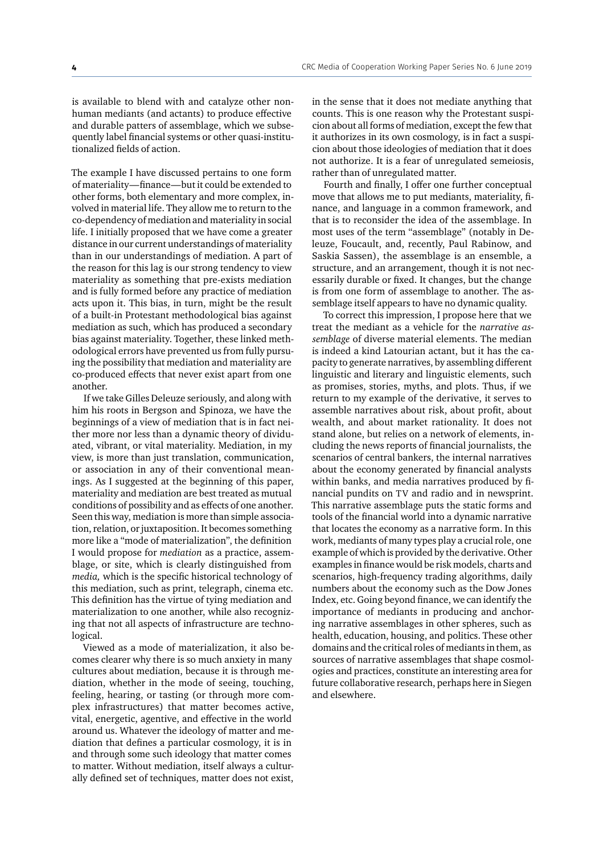is available to blend with and catalyze other nonhuman mediants (and actants) to produce effective and durable patters of assemblage, which we subsequently label financial systems or other quasi-institutionalized fields of action.

The example I have discussed pertains to one form of materiality—finance—but it could be extended to other forms, both elementary and more complex, involved in material life. They allow me to return to the co-dependency of mediation and materiality in social life. I initially proposed that we have come a greater distance in our current understandings of materiality than in our understandings of mediation. A part of the reason for this lag is our strong tendency to view materiality as something that pre-exists mediation and is fully formed before any practice of mediation acts upon it. This bias, in turn, might be the result of a built-in Protestant methodological bias against mediation as such, which has produced a secondary bias against materiality. Together, these linked methodological errors have prevented us from fully pursuing the possibility that mediation and materiality are co-produced effects that never exist apart from one another.

If we take Gilles Deleuze seriously, and along with him his roots in Bergson and Spinoza, we have the beginnings of a view of mediation that is in fact neither more nor less than a dynamic theory of dividuated, vibrant, or vital materiality. Mediation, in my view, is more than just translation, communication, or association in any of their conventional meanings. As I suggested at the beginning of this paper, materiality and mediation are best treated as mutual conditions of possibility and as effects of one another. Seen this way, mediation is more than simple association, relation, or juxtaposition. It becomes something more like a "mode of materialization", the definition I would propose for *mediation* as a practice, assemblage, or site, which is clearly distinguished from *media,* which is the specific historical technology of this mediation, such as print, telegraph, cinema etc. This definition has the virtue of tying mediation and materialization to one another, while also recognizing that not all aspects of infrastructure are technological.

Viewed as a mode of materialization, it also becomes clearer why there is so much anxiety in many cultures about mediation, because it is through mediation, whether in the mode of seeing, touching, feeling, hearing, or tasting (or through more complex infrastructures) that matter becomes active, vital, energetic, agentive, and effective in the world around us. Whatever the ideology of matter and mediation that defines a particular cosmology, it is in and through some such ideology that matter comes to matter. Without mediation, itself always a culturally defined set of techniques, matter does not exist,

in the sense that it does not mediate anything that counts. This is one reason why the Protestant suspicion about all forms of mediation, except the few that it authorizes in its own cosmology, is in fact a suspicion about those ideologies of mediation that it does not authorize. It is a fear of unregulated semeiosis, rather than of unregulated matter.

Fourth and finally, I offer one further conceptual move that allows me to put mediants, materiality, finance, and language in a common framework, and that is to reconsider the idea of the assemblage. In most uses of the term "assemblage" (notably in Deleuze, Foucault, and, recently, Paul Rabinow, and Saskia Sassen), the assemblage is an ensemble, a structure, and an arrangement, though it is not necessarily durable or fixed. It changes, but the change is from one form of assemblage to another. The assemblage itself appears to have no dynamic quality.

To correct this impression, I propose here that we treat the mediant as a vehicle for the *narrative assemblage* of diverse material elements. The median is indeed a kind Latourian actant, but it has the capacity to generate narratives, by assembling different linguistic and literary and linguistic elements, such as promises, stories, myths, and plots. Thus, if we return to my example of the derivative, it serves to assemble narratives about risk, about profit, about wealth, and about market rationality. It does not stand alone, but relies on a network of elements, including the news reports of financial journalists, the scenarios of central bankers, the internal narratives about the economy generated by financial analysts within banks, and media narratives produced by financial pundits on TV and radio and in newsprint. This narrative assemblage puts the static forms and tools of the financial world into a dynamic narrative that locates the economy as a narrative form. In this work, mediants of many types play a crucial role, one example of which is provided by the derivative. Other examples in finance would be risk models, charts and scenarios, high-frequency trading algorithms, daily numbers about the economy such as the Dow Jones Index, etc. Going beyond finance, we can identify the importance of mediants in producing and anchoring narrative assemblages in other spheres, such as health, education, housing, and politics. These other domains and the critical roles of mediants in them, as sources of narrative assemblages that shape cosmologies and practices, constitute an interesting area for future collaborative research, perhaps here in Siegen and elsewhere.